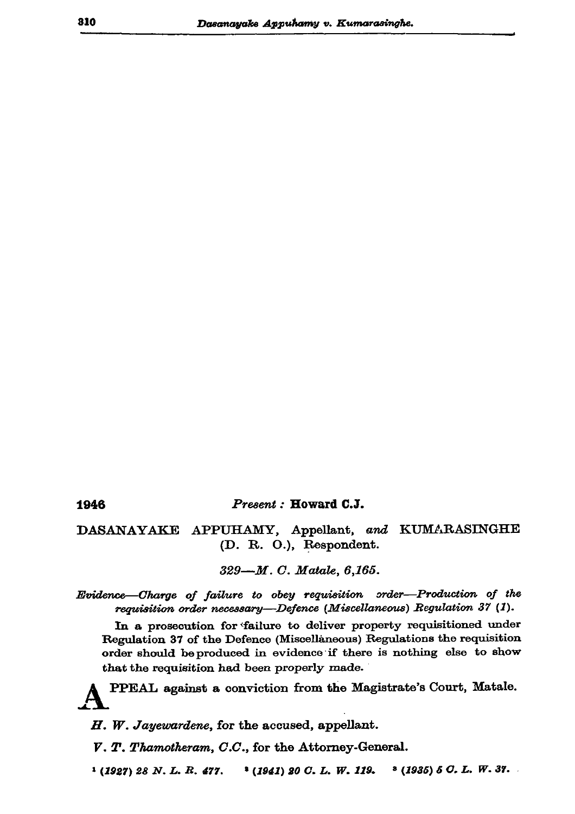Present: Howard C.J.

DASANAYAKE APPUHAMY, Appellant, and KUMARASINGHE (D. R. O.), Respondent.

329-M. C. Matale, 6,165.

Evidence-Charge of failure to obey requisition order-Production of the requisition order necessary-Defence (Miscellaneous) Regulation 37 (1).

In a prosecution for failure to deliver property requisitioned under Regulation 37 of the Defence (Miscellaneous) Regulations the requisition order should be produced in evidence if there is nothing else to show that the requisition had been properly made.

PPEAL against a conviction from the Magistrate's Court, Matale.

H. W. Jayewardene, for the accused, appellant.

V. T. Thamotheram, C.C., for the Attorney-General.

 $(1927)$  28 N.L.R. 477.  $(1941)$  20 C. L. W. 119.  $(1936) 5 C. L. W. 37.$